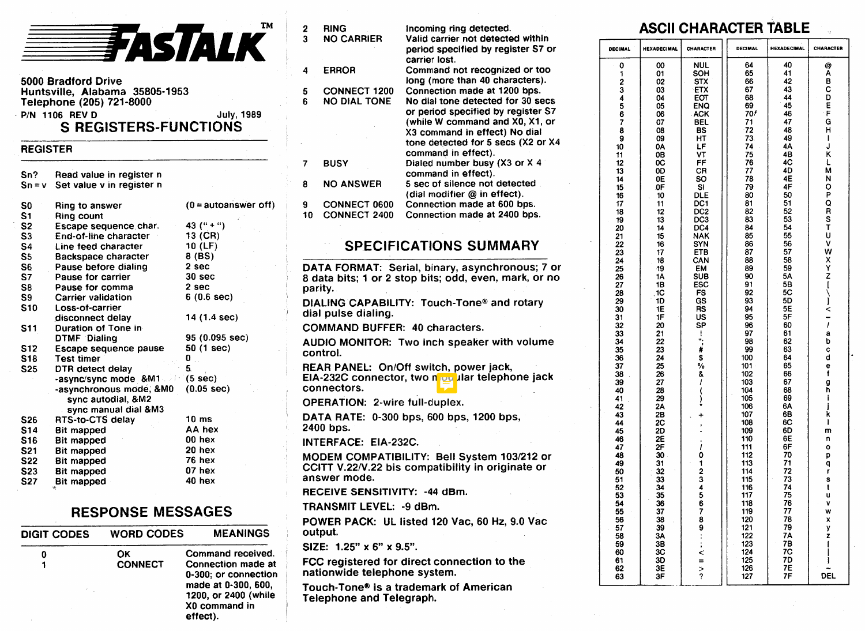

5000 Bradford Drive Huntsville, Alabama 35805-1953 Telephone (205) 721-8000 P/N 1106 REV D July, 1989

## S REGISTERS-FUNCTIONS

### REGISTER

| Sn?<br>$Sn = V$ | Read value in register n<br>Set value v in register n |                         |
|-----------------|-------------------------------------------------------|-------------------------|
| S0              | Ring to answer                                        | $(0 = automature of f)$ |
| S1              | <b>Ring count</b>                                     |                         |
| S <sub>2</sub>  | Escape sequence char.                                 | 43 $($ " + " $)$        |
| S3              | End-of-line character                                 | 13 (CR)                 |
| S4              | Line feed character                                   | 10(LF)                  |
| S5              | <b>Backspace character</b>                            | 8 (BS)                  |
| S6              | Pause before dialing                                  | 2 sec                   |
| S7              | Pause for carrier                                     | 30 sec                  |
| S8              | Pause for comma                                       | 2 sec                   |
| S9.             | Carrier validation                                    | 6(0.6 sec)              |
| <b>S10</b>      | Loss-of-carrier                                       |                         |
|                 | disconnect delay                                      | 14 (1.4 sec)            |
| S11             | Duration of Tone in                                   |                         |
|                 | DTMF Dialing                                          | 95 (0.095 sec)          |
| S <sub>12</sub> | Escape sequence pause                                 | 50 (1 sec)              |
| S18             | <b>Test timer</b>                                     | 0                       |
| S <sub>25</sub> | DTR detect delay                                      | 5.                      |
|                 | -async/sync mode &M1                                  | (5 sec)                 |
|                 | -asynchronous mode, &M0                               | $(0.05 \text{ sec})$    |
|                 | sync autodial, &M2                                    |                         |
|                 | sync manual dial &M3                                  |                         |
| S26             | RTS-to-CTS delay                                      | 10 <sub>ms</sub>        |
| S <sub>14</sub> | <b>Bit mapped</b>                                     | AA hex                  |
| S16             | <b>Bit mapped</b>                                     | 00 hex                  |
| S <sub>21</sub> | <b>Bit mapped</b>                                     | 20 hex                  |
| S22             | <b>Bit mapped</b>                                     | 76 hex                  |
| S <sub>23</sub> | <b>Bit mapped</b>                                     | 07 hex                  |
| <b>S27</b>      | <b>Bit mapped</b>                                     | 40 hex                  |
|                 | 14                                                    |                         |

## RESPONSE MESSAGES

| <b>DIGIT CODES</b> | <b>WORD CODES</b> | <b>MEANINGS</b>                                                                                                        |
|--------------------|-------------------|------------------------------------------------------------------------------------------------------------------------|
| 0                  | ОΚ                | Command received.                                                                                                      |
|                    | <b>CONNECT</b>    | Connection made at<br>0-300: or connection<br>made at 0-300, 600,<br>1200, or 2400 (while<br>X0 command in<br>effect). |

| 2<br>3  | <b>RING</b><br><b>NO CARRIER</b>                                   | Incoming ring detected.<br>Valid carrier not detected within                                                                                                                                                                             |  |  |  |  |  |  |
|---------|--------------------------------------------------------------------|------------------------------------------------------------------------------------------------------------------------------------------------------------------------------------------------------------------------------------------|--|--|--|--|--|--|
|         |                                                                    | period specified by register S7 or<br>carrier lost.                                                                                                                                                                                      |  |  |  |  |  |  |
| 4       | <b>ERROR</b>                                                       | Command not recognized or too<br>long (more than 40 characters).                                                                                                                                                                         |  |  |  |  |  |  |
| 5<br>6  | <b>CONNECT 1200</b><br><b>NO DIAL TONE</b>                         | Connection made at 1200 bps.<br>No dial tone detected for 30 secs<br>or period specified by register S7<br>(while W command and X0, X1, or<br>X3 command in effect) No dial<br>tone detected for 5 secs (X2 or X4<br>command in effect). |  |  |  |  |  |  |
| 7       | <b>BUSY</b>                                                        | Dialed number busy (X3 or X 4<br>command in effect).                                                                                                                                                                                     |  |  |  |  |  |  |
| 8       | <b>NO ANSWER</b>                                                   | 5 sec of silence not detected<br>(dial modifier @ in effect).                                                                                                                                                                            |  |  |  |  |  |  |
| 9<br>10 | <b>CONNECT 0600</b><br><b>CONNECT 2400</b>                         | Connection made at 600 bps.<br>Connection made at 2400 bps.                                                                                                                                                                              |  |  |  |  |  |  |
|         |                                                                    | <b>SPECIFICATIONS SUMMARY</b>                                                                                                                                                                                                            |  |  |  |  |  |  |
| parity. |                                                                    | DATA FORMAT: Serial, binary, asynchronous; 7 or<br>8 data bits; 1 or 2 stop bits; odd, even, mark, or no<br>DIALING CAPABILITY: Touch-Tone® and rotary                                                                                   |  |  |  |  |  |  |
|         | dial pulse dialing.                                                |                                                                                                                                                                                                                                          |  |  |  |  |  |  |
|         |                                                                    | <b>COMMAND BUFFER: 40 characters.</b>                                                                                                                                                                                                    |  |  |  |  |  |  |
|         | control.                                                           | AUDIO MONITOR: Two inch speaker with volume                                                                                                                                                                                              |  |  |  |  |  |  |
|         | connectors.                                                        | REAR PANEL: On/Off switch, power jack,<br>EIA-232C connector, two modular telephone jack                                                                                                                                                 |  |  |  |  |  |  |
|         | <b>OPERATION: 2-wire full-duplex.</b>                              |                                                                                                                                                                                                                                          |  |  |  |  |  |  |
|         | 2400 bps.                                                          | DATA RATE: 0-300 bps, 600 bps, 1200 bps,                                                                                                                                                                                                 |  |  |  |  |  |  |
|         | <b>INTERFACE: EIA-232C.</b>                                        |                                                                                                                                                                                                                                          |  |  |  |  |  |  |
|         | answer mode.                                                       | MODEM COMPATIBILITY: Bell System 103/212 or<br>CCITT V.22/V.22 bis compatibility in originate or                                                                                                                                         |  |  |  |  |  |  |
|         | RECEIVE SENSITIVITY: -44 dBm.                                      |                                                                                                                                                                                                                                          |  |  |  |  |  |  |
|         | TRANSMIT LEVEL: -9 dBm.                                            |                                                                                                                                                                                                                                          |  |  |  |  |  |  |
|         | output.                                                            | POWER PACK: UL listed 120 Vac, 60 Hz, 9.0 Vac                                                                                                                                                                                            |  |  |  |  |  |  |
|         | SIZE: 1.25" x 6" x 9.5".                                           |                                                                                                                                                                                                                                          |  |  |  |  |  |  |
|         | nationwide telephone system.                                       | FCC registered for direct connection to the                                                                                                                                                                                              |  |  |  |  |  |  |
|         | Touch-Tone® is a trademark of American<br>Telephone and Telegraph. |                                                                                                                                                                                                                                          |  |  |  |  |  |  |

## ASCII CHARACTER TABLE

| DECIMAL                                                                                                                                                                                                                                                                                                                                                                                                     | CHARACTER                                                                                                                                                                                                                                                                                                                            | <b>HEXADECIMAL</b>                                                                                                                                                                                                                                                                                                                                                                     | DECIMAL                                                                                                                                                                                                                                                                                                                                               |  |
|-------------------------------------------------------------------------------------------------------------------------------------------------------------------------------------------------------------------------------------------------------------------------------------------------------------------------------------------------------------------------------------------------------------|--------------------------------------------------------------------------------------------------------------------------------------------------------------------------------------------------------------------------------------------------------------------------------------------------------------------------------------|----------------------------------------------------------------------------------------------------------------------------------------------------------------------------------------------------------------------------------------------------------------------------------------------------------------------------------------------------------------------------------------|-------------------------------------------------------------------------------------------------------------------------------------------------------------------------------------------------------------------------------------------------------------------------------------------------------------------------------------------------------|--|
| 64<br>65<br>66<br>67<br>68<br>69<br>70/<br>71<br>72<br>73<br>74<br>75<br>76<br>77<br>78<br>79<br>80<br>81<br>82<br>83<br>84<br>85<br>86<br>87<br>88<br>89<br>90<br>91<br>92<br>93<br>94<br>95<br>96<br>97<br>98<br>$\frac{99}{100}$<br>101<br>102<br>103<br>104<br>105<br>106<br>107<br>108<br>109<br>110<br>111<br>112<br>113<br>114<br>115<br>116<br>117<br>118<br>119<br>120<br>121<br>122<br>123<br>124 | <b>NUL</b><br>SOH<br><b>STX</b><br><b>ETX</b><br>EOT<br>ENQ<br><b>ACK</b><br><b>BEL</b><br>BS<br>НT<br>LF<br>VT<br>FF<br>CR<br>so<br>SΙ<br>DLE<br>DC1<br>DC <sub>2</sub><br>DC3<br>DC4<br><b>NAK</b><br>SYN<br>ETB<br>CAN<br>EM<br>SUB<br>ESC<br>FS<br>GS<br>RS<br>UŚ<br>SP<br>$\frac{1}{n}$<br>₩<br>\$<br>%<br>81().<br>÷<br>,<br>I | 00<br>01<br>$\overline{0}$<br>03<br>04<br>05<br>06<br>07<br>08<br>09<br>ŌÃ<br>0B<br>0C<br>0D<br>0E<br>0F<br>10<br>11<br>12<br>13<br>14<br>15<br>16<br>17<br>18<br>19<br>1Α<br>18<br>1C<br>1D<br>1E<br>1F<br>20<br>21<br>22<br>23<br>24<br>25<br>26<br>27<br>28<br>29<br>2A<br>2B<br>2C<br>2D<br>2E<br>2F<br>30<br>31<br>32<br>33<br>34<br>35<br>36<br>37<br>38<br>39<br>3А<br>3B<br>ЗĊ | 0<br>1234567890<br>11<br>$\overline{12}$<br>$\overline{13}$<br>14<br>15<br>16<br>17<br>18<br>19<br>20<br>21<br>22<br>23<br>24<br>25<br>26<br>27<br>28<br>29<br>30<br>31<br>32<br>33<br>34<br>35<br>36<br>37<br>38<br>39<br>40<br>41<br>42<br>43<br>44<br>45<br>46<br>47<br>48<br>49<br>50<br>51<br>52<br>53<br>54<br>55<br>56<br>57<br>58<br>59<br>60 |  |
| 125<br>126<br>127                                                                                                                                                                                                                                                                                                                                                                                           | 0123456789<127                                                                                                                                                                                                                                                                                                                       | 3D<br>3E<br>3F                                                                                                                                                                                                                                                                                                                                                                         | 61<br>62<br>63                                                                                                                                                                                                                                                                                                                                        |  |

--